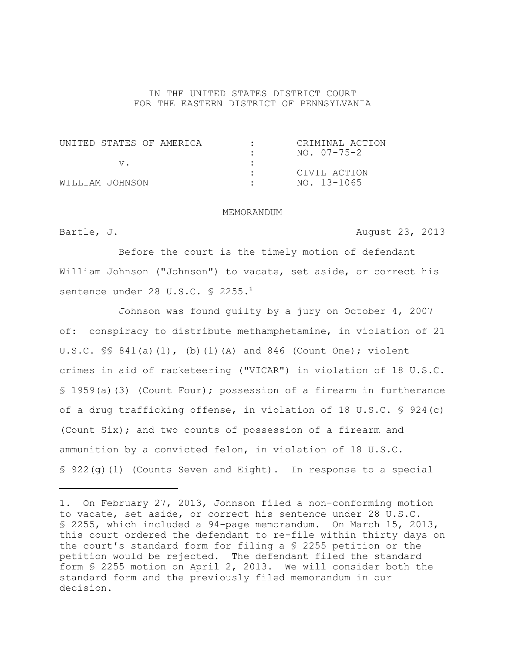## IN THE UNITED STATES DISTRICT COURT FOR THE EASTERN DISTRICT OF PENNSYLVANIA

| UNITED STATES OF AMERICA |  | CRIMINAL ACTION |
|--------------------------|--|-----------------|
|                          |  | NO. 07-75-2     |
|                          |  |                 |
|                          |  | CIVIL ACTION    |
| WILLIAM JOHNSON          |  | NO. 13-1065     |

## MEMORANDUM

Bartle, J. **August 23, 2013** 

Before the court is the timely motion of defendant William Johnson ("Johnson") to vacate, set aside, or correct his sentence under 28 U.S.C. § 2255.**<sup>1</sup>**

Johnson was found guilty by a jury on October 4, 2007 of: conspiracy to distribute methamphetamine, in violation of 21 U.S.C.  $\frac{1}{5}$  841(a)(1), (b)(1)(A) and 846 (Count One); violent crimes in aid of racketeering ("VICAR") in violation of 18 U.S.C. § 1959(a)(3) (Count Four); possession of a firearm in furtherance of a drug trafficking offense, in violation of 18 U.S.C. § 924(c) (Count Six); and two counts of possession of a firearm and ammunition by a convicted felon, in violation of 18 U.S.C. § 922(g)(1) (Counts Seven and Eight). In response to a special

<sup>1.</sup> On February 27, 2013, Johnson filed a non-conforming motion to vacate, set aside, or correct his sentence under 28 U.S.C. § 2255, which included a 94-page memorandum. On March 15, 2013, this court ordered the defendant to re-file within thirty days on the court's standard form for filing a § 2255 petition or the petition would be rejected. The defendant filed the standard form § 2255 motion on April 2, 2013. We will consider both the standard form and the previously filed memorandum in our decision.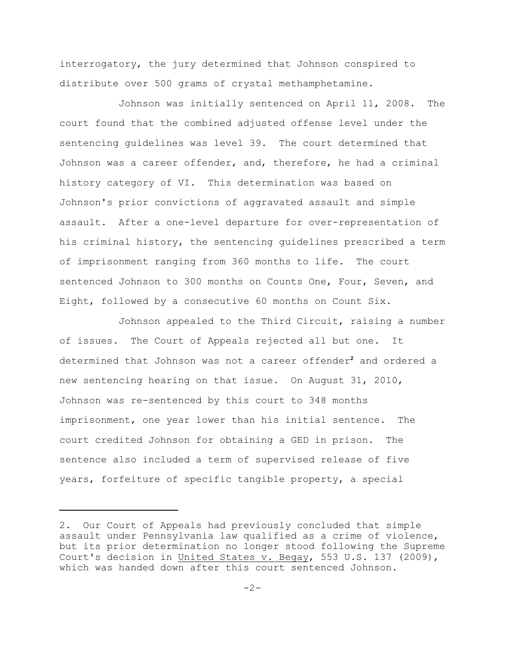interrogatory, the jury determined that Johnson conspired to distribute over 500 grams of crystal methamphetamine.

Johnson was initially sentenced on April 11, 2008. The court found that the combined adjusted offense level under the sentencing guidelines was level 39. The court determined that Johnson was a career offender, and, therefore, he had a criminal history category of VI. This determination was based on Johnson's prior convictions of aggravated assault and simple assault. After a one-level departure for over-representation of his criminal history, the sentencing guidelines prescribed a term of imprisonment ranging from 360 months to life. The court sentenced Johnson to 300 months on Counts One, Four, Seven, and Eight, followed by a consecutive 60 months on Count Six.

Johnson appealed to the Third Circuit, raising a number of issues. The Court of Appeals rejected all but one. It determined that Johnson was not a career offender<sup>2</sup> and ordered a new sentencing hearing on that issue. On August 31, 2010, Johnson was re-sentenced by this court to 348 months imprisonment, one year lower than his initial sentence. The court credited Johnson for obtaining a GED in prison. The sentence also included a term of supervised release of five years, forfeiture of specific tangible property, a special

<sup>2.</sup> Our Court of Appeals had previously concluded that simple assault under Pennsylvania law qualified as a crime of violence, but its prior determination no longer stood following the Supreme Court's decision in United States v. Begay, 553 U.S. 137 (2009), which was handed down after this court sentenced Johnson.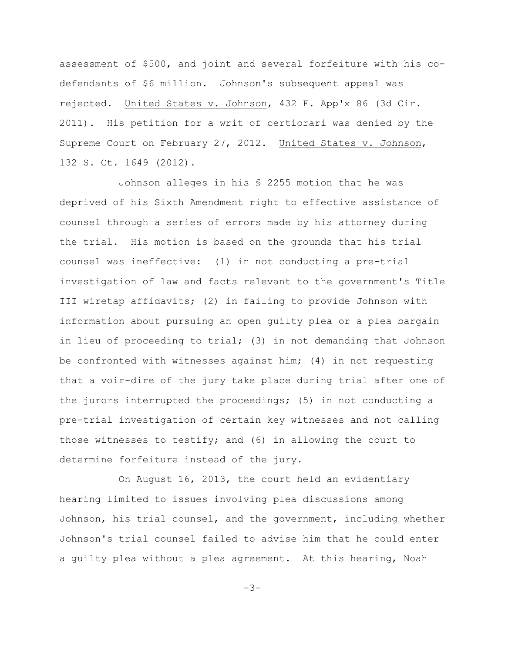assessment of \$500, and joint and several forfeiture with his codefendants of \$6 million. Johnson's subsequent appeal was rejected. United States v. Johnson, 432 F. App'x 86 (3d Cir. 2011). His petition for a writ of certiorari was denied by the Supreme Court on February 27, 2012. United States v. Johnson, 132 S. Ct. 1649 (2012).

Johnson alleges in his § 2255 motion that he was deprived of his Sixth Amendment right to effective assistance of counsel through a series of errors made by his attorney during the trial. His motion is based on the grounds that his trial counsel was ineffective: (1) in not conducting a pre-trial investigation of law and facts relevant to the government's Title III wiretap affidavits; (2) in failing to provide Johnson with information about pursuing an open guilty plea or a plea bargain in lieu of proceeding to trial; (3) in not demanding that Johnson be confronted with witnesses against him; (4) in not requesting that a voir-dire of the jury take place during trial after one of the jurors interrupted the proceedings; (5) in not conducting a pre-trial investigation of certain key witnesses and not calling those witnesses to testify; and (6) in allowing the court to determine forfeiture instead of the jury.

On August 16, 2013, the court held an evidentiary hearing limited to issues involving plea discussions among Johnson, his trial counsel, and the government, including whether Johnson's trial counsel failed to advise him that he could enter a guilty plea without a plea agreement. At this hearing, Noah

 $-3-$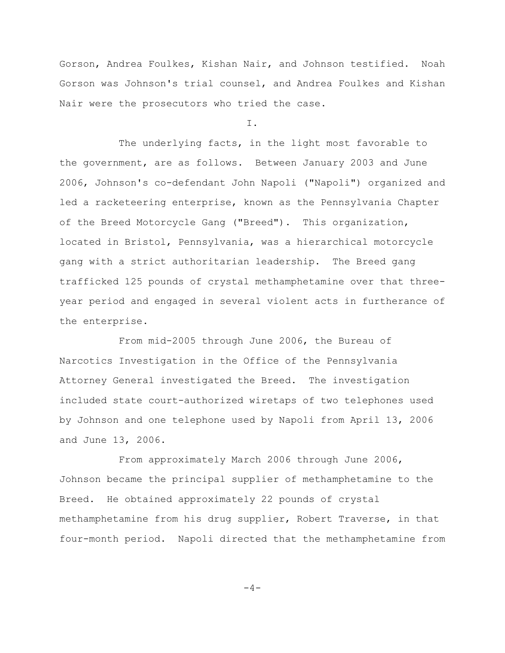Gorson, Andrea Foulkes, Kishan Nair, and Johnson testified. Noah Gorson was Johnson's trial counsel, and Andrea Foulkes and Kishan Nair were the prosecutors who tried the case.

I.

The underlying facts, in the light most favorable to the government, are as follows. Between January 2003 and June 2006, Johnson's co-defendant John Napoli ("Napoli") organized and led a racketeering enterprise, known as the Pennsylvania Chapter of the Breed Motorcycle Gang ("Breed"). This organization, located in Bristol, Pennsylvania, was a hierarchical motorcycle gang with a strict authoritarian leadership. The Breed gang trafficked 125 pounds of crystal methamphetamine over that threeyear period and engaged in several violent acts in furtherance of the enterprise.

From mid-2005 through June 2006, the Bureau of Narcotics Investigation in the Office of the Pennsylvania Attorney General investigated the Breed. The investigation included state court-authorized wiretaps of two telephones used by Johnson and one telephone used by Napoli from April 13, 2006 and June 13, 2006.

From approximately March 2006 through June 2006, Johnson became the principal supplier of methamphetamine to the Breed. He obtained approximately 22 pounds of crystal methamphetamine from his drug supplier, Robert Traverse, in that four-month period. Napoli directed that the methamphetamine from

 $-4-$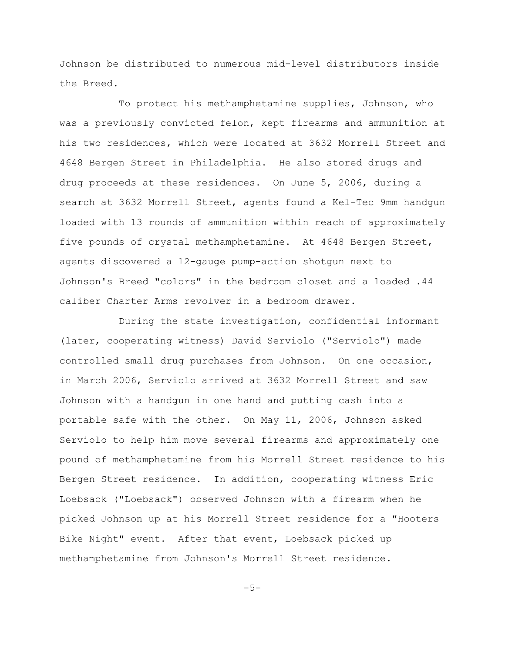Johnson be distributed to numerous mid-level distributors inside the Breed.

To protect his methamphetamine supplies, Johnson, who was a previously convicted felon, kept firearms and ammunition at his two residences, which were located at 3632 Morrell Street and 4648 Bergen Street in Philadelphia. He also stored drugs and drug proceeds at these residences. On June 5, 2006, during a search at 3632 Morrell Street, agents found a Kel-Tec 9mm handgun loaded with 13 rounds of ammunition within reach of approximately five pounds of crystal methamphetamine. At 4648 Bergen Street, agents discovered a 12-gauge pump-action shotgun next to Johnson's Breed "colors" in the bedroom closet and a loaded .44 caliber Charter Arms revolver in a bedroom drawer.

During the state investigation, confidential informant (later, cooperating witness) David Serviolo ("Serviolo") made controlled small drug purchases from Johnson. On one occasion, in March 2006, Serviolo arrived at 3632 Morrell Street and saw Johnson with a handgun in one hand and putting cash into a portable safe with the other. On May 11, 2006, Johnson asked Serviolo to help him move several firearms and approximately one pound of methamphetamine from his Morrell Street residence to his Bergen Street residence. In addition, cooperating witness Eric Loebsack ("Loebsack") observed Johnson with a firearm when he picked Johnson up at his Morrell Street residence for a "Hooters Bike Night" event. After that event, Loebsack picked up methamphetamine from Johnson's Morrell Street residence.

 $-5-$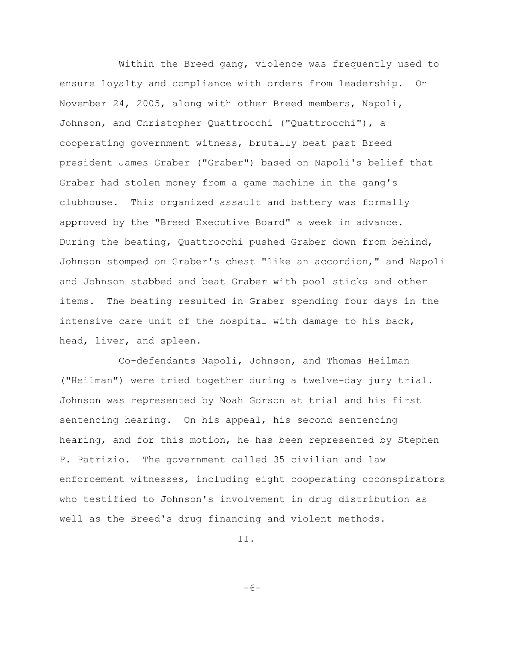Within the Breed gang, violence was frequently used to ensure loyalty and compliance with orders from leadership. On November 24, 2005, along with other Breed members, Napoli, Johnson, and Christopher Quattrocchi ("Quattrocchi"), a cooperating government witness, brutally beat past Breed president James Graber ("Graber") based on Napoli's belief that Graber had stolen money from a game machine in the gang's clubhouse. This organized assault and battery was formally approved by the "Breed Executive Board" a week in advance. During the beating, Quattrocchi pushed Graber down from behind, Johnson stomped on Graber's chest "like an accordion," and Napoli and Johnson stabbed and beat Graber with pool sticks and other items. The beating resulted in Graber spending four days in the intensive care unit of the hospital with damage to his back, head, liver, and spleen.

Co-defendants Napoli, Johnson, and Thomas Heilman ("Heilman") were tried together during a twelve-day jury trial. Johnson was represented by Noah Gorson at trial and his first sentencing hearing. On his appeal, his second sentencing hearing, and for this motion, he has been represented by Stephen P. Patrizio. The government called 35 civilian and law enforcement witnesses, including eight cooperating coconspirators who testified to Johnson's involvement in drug distribution as well as the Breed's drug financing and violent methods.

II.

 $-6-$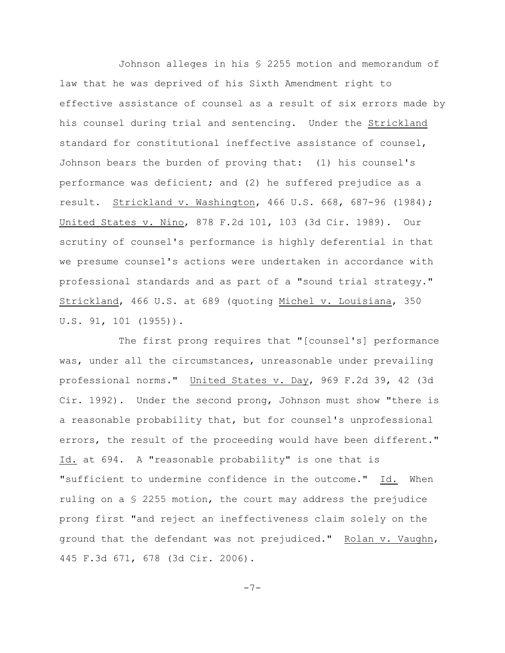Johnson alleges in his § 2255 motion and memorandum of law that he was deprived of his Sixth Amendment right to effective assistance of counsel as a result of six errors made by his counsel during trial and sentencing. Under the Strickland standard for constitutional ineffective assistance of counsel, Johnson bears the burden of proving that: (1) his counsel's performance was deficient; and (2) he suffered prejudice as a result. Strickland v. Washington, 466 U.S. 668, 687-96 (1984); United States v. Nino, 878 F.2d 101, 103 (3d Cir. 1989). Our scrutiny of counsel's performance is highly deferential in that we presume counsel's actions were undertaken in accordance with professional standards and as part of a "sound trial strategy." Strickland, 466 U.S. at 689 (quoting Michel v. Louisiana, 350 U.S. 91, 101 (1955)).

The first prong requires that "[counsel's] performance was, under all the circumstances, unreasonable under prevailing professional norms." United States v. Day, 969 F.2d 39, 42 (3d Cir. 1992). Under the second prong, Johnson must show "there is a reasonable probability that, but for counsel's unprofessional errors, the result of the proceeding would have been different." Id. at 694. A "reasonable probability" is one that is "sufficient to undermine confidence in the outcome." Id. When ruling on a  $S$  2255 motion, the court may address the prejudice prong first "and reject an ineffectiveness claim solely on the ground that the defendant was not prejudiced." Rolan v. Vaughn, 445 F.3d 671, 678 (3d Cir. 2006).

-7-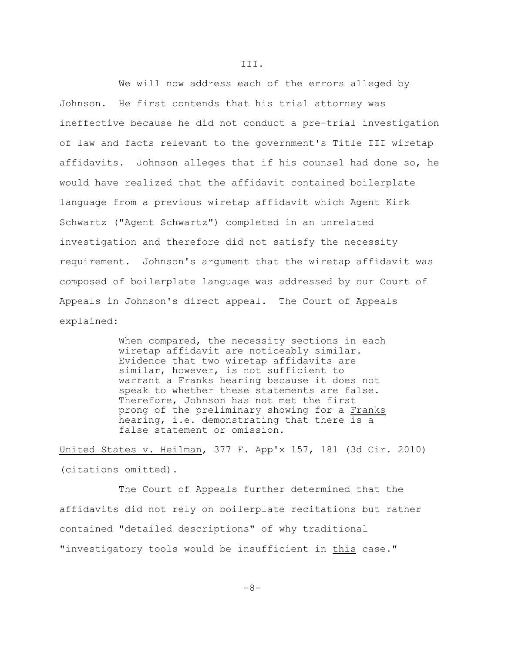We will now address each of the errors alleged by Johnson. He first contends that his trial attorney was ineffective because he did not conduct a pre-trial investigation of law and facts relevant to the government's Title III wiretap affidavits. Johnson alleges that if his counsel had done so, he would have realized that the affidavit contained boilerplate language from a previous wiretap affidavit which Agent Kirk Schwartz ("Agent Schwartz") completed in an unrelated investigation and therefore did not satisfy the necessity requirement. Johnson's argument that the wiretap affidavit was composed of boilerplate language was addressed by our Court of Appeals in Johnson's direct appeal. The Court of Appeals explained:

> When compared, the necessity sections in each wiretap affidavit are noticeably similar. Evidence that two wiretap affidavits are similar, however, is not sufficient to warrant a Franks hearing because it does not speak to whether these statements are false. Therefore, Johnson has not met the first prong of the preliminary showing for a Franks hearing, i.e. demonstrating that there is a false statement or omission.

United States v. Heilman, 377 F. App'x 157, 181 (3d Cir. 2010) (citations omitted).

The Court of Appeals further determined that the affidavits did not rely on boilerplate recitations but rather contained "detailed descriptions" of why traditional "investigatory tools would be insufficient in this case."

III.

-8-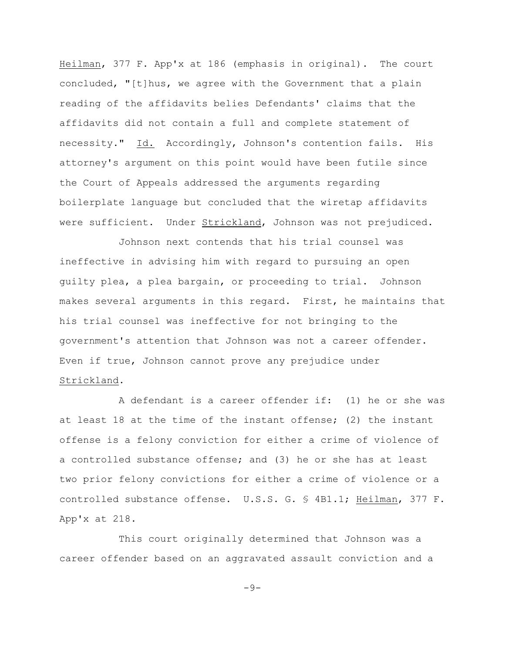Heilman, 377 F. App'x at 186 (emphasis in original). The court concluded, "[t]hus, we agree with the Government that a plain reading of the affidavits belies Defendants' claims that the affidavits did not contain a full and complete statement of necessity." Id. Accordingly, Johnson's contention fails. His attorney's argument on this point would have been futile since the Court of Appeals addressed the arguments regarding boilerplate language but concluded that the wiretap affidavits were sufficient. Under Strickland, Johnson was not prejudiced.

Johnson next contends that his trial counsel was ineffective in advising him with regard to pursuing an open guilty plea, a plea bargain, or proceeding to trial. Johnson makes several arguments in this regard. First, he maintains that his trial counsel was ineffective for not bringing to the government's attention that Johnson was not a career offender. Even if true, Johnson cannot prove any prejudice under Strickland.

A defendant is a career offender if: (1) he or she was at least 18 at the time of the instant offense; (2) the instant offense is a felony conviction for either a crime of violence of a controlled substance offense; and (3) he or she has at least two prior felony convictions for either a crime of violence or a controlled substance offense. U.S.S. G. § 4B1.1; Heilman, 377 F. App'x at 218.

This court originally determined that Johnson was a career offender based on an aggravated assault conviction and a

 $-9-$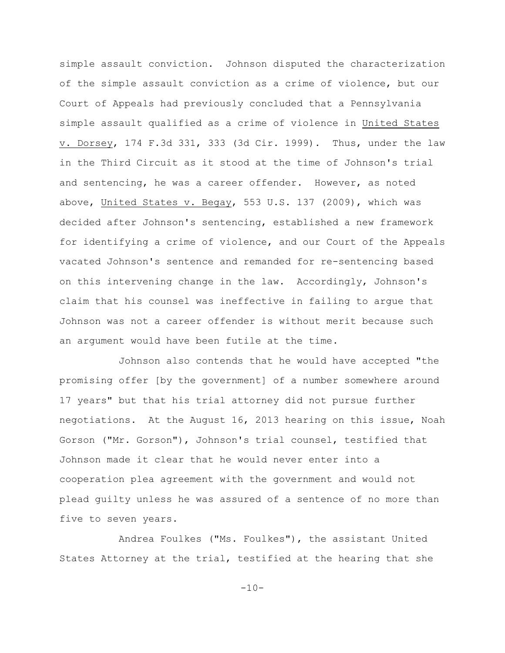simple assault conviction. Johnson disputed the characterization of the simple assault conviction as a crime of violence, but our Court of Appeals had previously concluded that a Pennsylvania simple assault qualified as a crime of violence in United States v. Dorsey, 174 F.3d 331, 333 (3d Cir. 1999). Thus, under the law in the Third Circuit as it stood at the time of Johnson's trial and sentencing, he was a career offender. However, as noted above, United States v. Begay, 553 U.S. 137 (2009), which was decided after Johnson's sentencing, established a new framework for identifying a crime of violence, and our Court of the Appeals vacated Johnson's sentence and remanded for re-sentencing based on this intervening change in the law. Accordingly, Johnson's claim that his counsel was ineffective in failing to argue that Johnson was not a career offender is without merit because such an argument would have been futile at the time.

Johnson also contends that he would have accepted "the promising offer [by the government] of a number somewhere around 17 years" but that his trial attorney did not pursue further negotiations. At the August 16, 2013 hearing on this issue, Noah Gorson ("Mr. Gorson"), Johnson's trial counsel, testified that Johnson made it clear that he would never enter into a cooperation plea agreement with the government and would not plead guilty unless he was assured of a sentence of no more than five to seven years.

Andrea Foulkes ("Ms. Foulkes"), the assistant United States Attorney at the trial, testified at the hearing that she

 $-10-$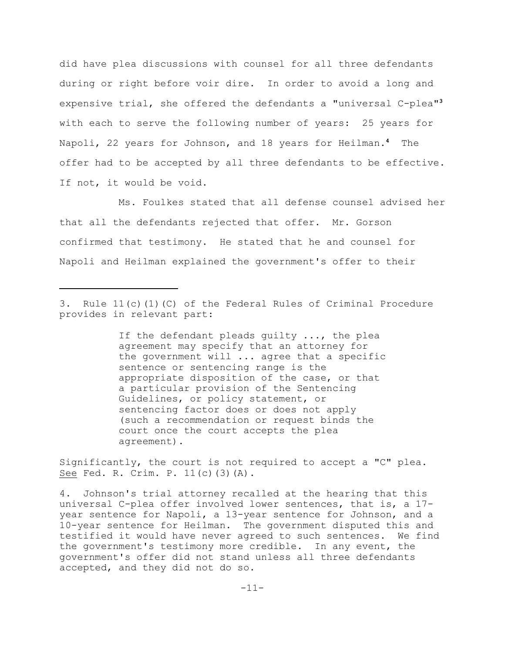did have plea discussions with counsel for all three defendants during or right before voir dire. In order to avoid a long and expensive trial, she offered the defendants a "universal C-plea"**<sup>3</sup>** with each to serve the following number of years: 25 years for Napoli, 22 years for Johnson, and 18 years for Heilman.<sup>4</sup> The offer had to be accepted by all three defendants to be effective. If not, it would be void.

Ms. Foulkes stated that all defense counsel advised her that all the defendants rejected that offer. Mr. Gorson confirmed that testimony. He stated that he and counsel for Napoli and Heilman explained the government's offer to their

If the defendant pleads guilty ..., the plea agreement may specify that an attorney for the government will ... agree that a specific sentence or sentencing range is the appropriate disposition of the case, or that a particular provision of the Sentencing Guidelines, or policy statement, or sentencing factor does or does not apply (such a recommendation or request binds the court once the court accepts the plea agreement).

Significantly, the court is not required to accept a "C" plea. See Fed. R. Crim. P. 11(c)(3)(A).

4. Johnson's trial attorney recalled at the hearing that this universal C-plea offer involved lower sentences, that is, a 17 year sentence for Napoli, a 13-year sentence for Johnson, and a 10-year sentence for Heilman. The government disputed this and testified it would have never agreed to such sentences. We find the government's testimony more credible. In any event, the government's offer did not stand unless all three defendants accepted, and they did not do so.

<sup>3.</sup> Rule 11(c)(1)(C) of the Federal Rules of Criminal Procedure provides in relevant part: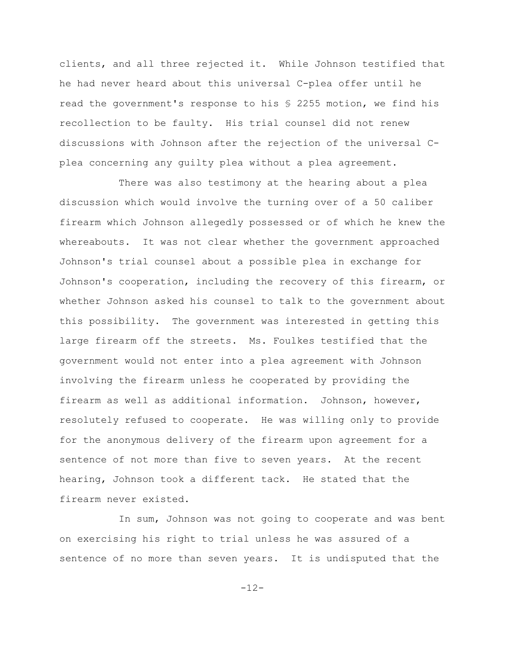clients, and all three rejected it. While Johnson testified that he had never heard about this universal C-plea offer until he read the government's response to his § 2255 motion, we find his recollection to be faulty. His trial counsel did not renew discussions with Johnson after the rejection of the universal Cplea concerning any guilty plea without a plea agreement.

There was also testimony at the hearing about a plea discussion which would involve the turning over of a 50 caliber firearm which Johnson allegedly possessed or of which he knew the whereabouts. It was not clear whether the government approached Johnson's trial counsel about a possible plea in exchange for Johnson's cooperation, including the recovery of this firearm, or whether Johnson asked his counsel to talk to the government about this possibility. The government was interested in getting this large firearm off the streets. Ms. Foulkes testified that the government would not enter into a plea agreement with Johnson involving the firearm unless he cooperated by providing the firearm as well as additional information. Johnson, however, resolutely refused to cooperate. He was willing only to provide for the anonymous delivery of the firearm upon agreement for a sentence of not more than five to seven years. At the recent hearing, Johnson took a different tack. He stated that the firearm never existed.

In sum, Johnson was not going to cooperate and was bent on exercising his right to trial unless he was assured of a sentence of no more than seven years. It is undisputed that the

 $-12-$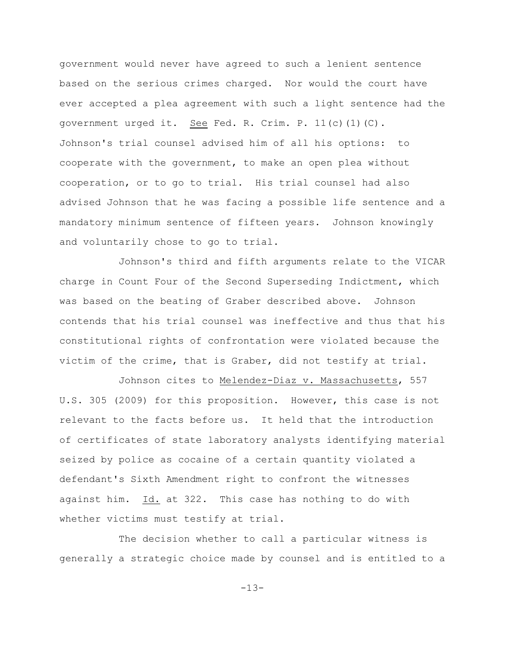government would never have agreed to such a lenient sentence based on the serious crimes charged. Nor would the court have ever accepted a plea agreement with such a light sentence had the government urged it. See Fed. R. Crim. P. 11(c)(1)(C). Johnson's trial counsel advised him of all his options: to cooperate with the government, to make an open plea without cooperation, or to go to trial. His trial counsel had also advised Johnson that he was facing a possible life sentence and a mandatory minimum sentence of fifteen years. Johnson knowingly and voluntarily chose to go to trial.

Johnson's third and fifth arguments relate to the VICAR charge in Count Four of the Second Superseding Indictment, which was based on the beating of Graber described above. Johnson contends that his trial counsel was ineffective and thus that his constitutional rights of confrontation were violated because the victim of the crime, that is Graber, did not testify at trial.

Johnson cites to Melendez-Diaz v. Massachusetts, 557 U.S. 305 (2009) for this proposition. However, this case is not relevant to the facts before us. It held that the introduction of certificates of state laboratory analysts identifying material seized by police as cocaine of a certain quantity violated a defendant's Sixth Amendment right to confront the witnesses against him. Id. at 322. This case has nothing to do with whether victims must testify at trial.

The decision whether to call a particular witness is generally a strategic choice made by counsel and is entitled to a

-13-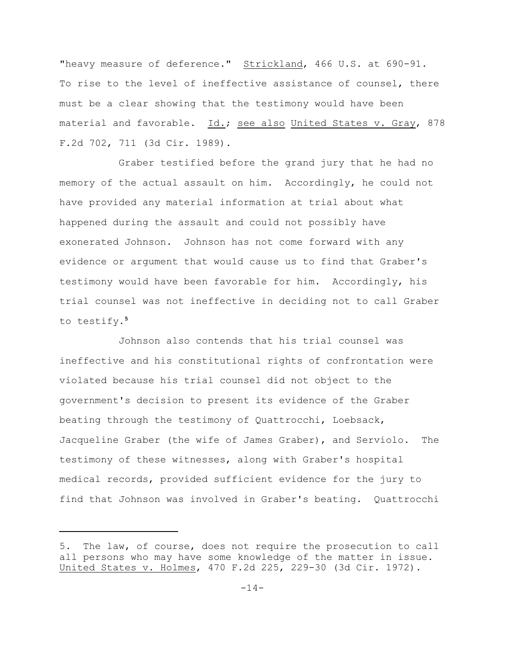"heavy measure of deference." Strickland, 466 U.S. at 690-91. To rise to the level of ineffective assistance of counsel, there must be a clear showing that the testimony would have been material and favorable. Id.; see also United States v. Gray, 878 F.2d 702, 711 (3d Cir. 1989).

Graber testified before the grand jury that he had no memory of the actual assault on him. Accordingly, he could not have provided any material information at trial about what happened during the assault and could not possibly have exonerated Johnson. Johnson has not come forward with any evidence or argument that would cause us to find that Graber's testimony would have been favorable for him. Accordingly, his trial counsel was not ineffective in deciding not to call Graber to testify. **5**

Johnson also contends that his trial counsel was ineffective and his constitutional rights of confrontation were violated because his trial counsel did not object to the government's decision to present its evidence of the Graber beating through the testimony of Quattrocchi, Loebsack, Jacqueline Graber (the wife of James Graber), and Serviolo. The testimony of these witnesses, along with Graber's hospital medical records, provided sufficient evidence for the jury to find that Johnson was involved in Graber's beating. Quattrocchi

<sup>5.</sup> The law, of course, does not require the prosecution to call all persons who may have some knowledge of the matter in issue. United States v. Holmes, 470 F.2d 225, 229-30 (3d Cir. 1972).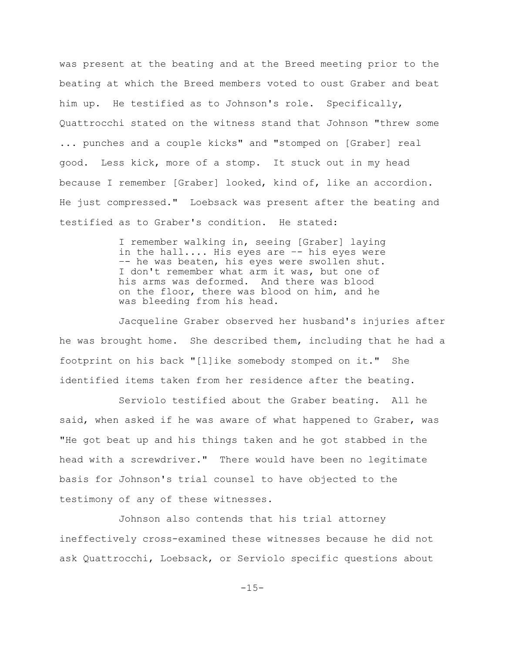was present at the beating and at the Breed meeting prior to the beating at which the Breed members voted to oust Graber and beat him up. He testified as to Johnson's role. Specifically, Quattrocchi stated on the witness stand that Johnson "threw some ... punches and a couple kicks" and "stomped on [Graber] real good. Less kick, more of a stomp. It stuck out in my head because I remember [Graber] looked, kind of, like an accordion. He just compressed." Loebsack was present after the beating and testified as to Graber's condition. He stated:

> I remember walking in, seeing [Graber] laying in the hall.... His eyes are -- his eyes were –- he was beaten, his eyes were swollen shut. I don't remember what arm it was, but one of his arms was deformed. And there was blood on the floor, there was blood on him, and he was bleeding from his head.

Jacqueline Graber observed her husband's injuries after he was brought home. She described them, including that he had a footprint on his back "[l]ike somebody stomped on it." She identified items taken from her residence after the beating.

Serviolo testified about the Graber beating. All he said, when asked if he was aware of what happened to Graber, was "He got beat up and his things taken and he got stabbed in the head with a screwdriver." There would have been no legitimate basis for Johnson's trial counsel to have objected to the testimony of any of these witnesses.

Johnson also contends that his trial attorney ineffectively cross-examined these witnesses because he did not ask Quattrocchi, Loebsack, or Serviolo specific questions about

-15-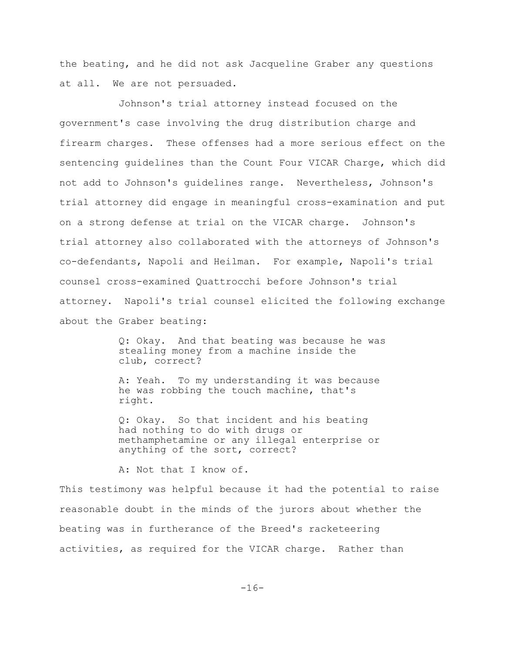the beating, and he did not ask Jacqueline Graber any questions at all. We are not persuaded.

Johnson's trial attorney instead focused on the government's case involving the drug distribution charge and firearm charges. These offenses had a more serious effect on the sentencing guidelines than the Count Four VICAR Charge, which did not add to Johnson's guidelines range. Nevertheless, Johnson's trial attorney did engage in meaningful cross-examination and put on a strong defense at trial on the VICAR charge. Johnson's trial attorney also collaborated with the attorneys of Johnson's co-defendants, Napoli and Heilman. For example, Napoli's trial counsel cross-examined Quattrocchi before Johnson's trial attorney. Napoli's trial counsel elicited the following exchange about the Graber beating:

> Q: Okay. And that beating was because he was stealing money from a machine inside the club, correct?

A: Yeah. To my understanding it was because he was robbing the touch machine, that's right.

Q: Okay. So that incident and his beating had nothing to do with drugs or methamphetamine or any illegal enterprise or anything of the sort, correct?

A: Not that I know of.

This testimony was helpful because it had the potential to raise reasonable doubt in the minds of the jurors about whether the beating was in furtherance of the Breed's racketeering activities, as required for the VICAR charge. Rather than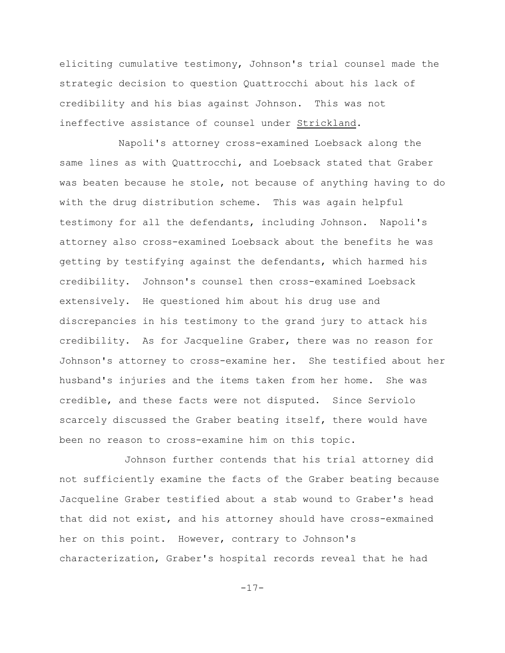eliciting cumulative testimony, Johnson's trial counsel made the strategic decision to question Quattrocchi about his lack of credibility and his bias against Johnson. This was not ineffective assistance of counsel under Strickland.

Napoli's attorney cross-examined Loebsack along the same lines as with Quattrocchi, and Loebsack stated that Graber was beaten because he stole, not because of anything having to do with the drug distribution scheme. This was again helpful testimony for all the defendants, including Johnson. Napoli's attorney also cross-examined Loebsack about the benefits he was getting by testifying against the defendants, which harmed his credibility. Johnson's counsel then cross-examined Loebsack extensively. He questioned him about his drug use and discrepancies in his testimony to the grand jury to attack his credibility. As for Jacqueline Graber, there was no reason for Johnson's attorney to cross-examine her. She testified about her husband's injuries and the items taken from her home. She was credible, and these facts were not disputed. Since Serviolo scarcely discussed the Graber beating itself, there would have been no reason to cross-examine him on this topic.

 Johnson further contends that his trial attorney did not sufficiently examine the facts of the Graber beating because Jacqueline Graber testified about a stab wound to Graber's head that did not exist, and his attorney should have cross-exmained her on this point. However, contrary to Johnson's characterization, Graber's hospital records reveal that he had

-17-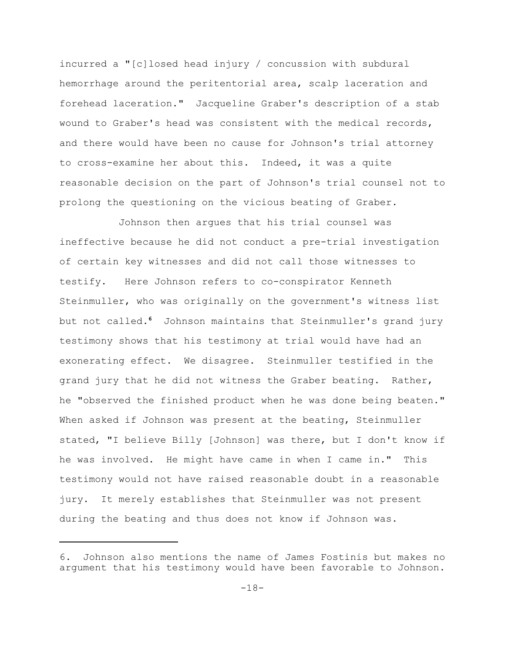incurred a "[c]losed head injury / concussion with subdural hemorrhage around the peritentorial area, scalp laceration and forehead laceration." Jacqueline Graber's description of a stab wound to Graber's head was consistent with the medical records, and there would have been no cause for Johnson's trial attorney to cross-examine her about this. Indeed, it was a quite reasonable decision on the part of Johnson's trial counsel not to prolong the questioning on the vicious beating of Graber.

Johnson then argues that his trial counsel was ineffective because he did not conduct a pre-trial investigation of certain key witnesses and did not call those witnesses to testify. Here Johnson refers to co-conspirator Kenneth Steinmuller, who was originally on the government's witness list but not called.<sup>6</sup> Johnson maintains that Steinmuller's grand jury testimony shows that his testimony at trial would have had an exonerating effect. We disagree. Steinmuller testified in the grand jury that he did not witness the Graber beating. Rather, he "observed the finished product when he was done being beaten." When asked if Johnson was present at the beating, Steinmuller stated, "I believe Billy [Johnson] was there, but I don't know if he was involved. He might have came in when I came in." This testimony would not have raised reasonable doubt in a reasonable jury. It merely establishes that Steinmuller was not present during the beating and thus does not know if Johnson was.

<sup>6.</sup> Johnson also mentions the name of James Fostinis but makes no argument that his testimony would have been favorable to Johnson.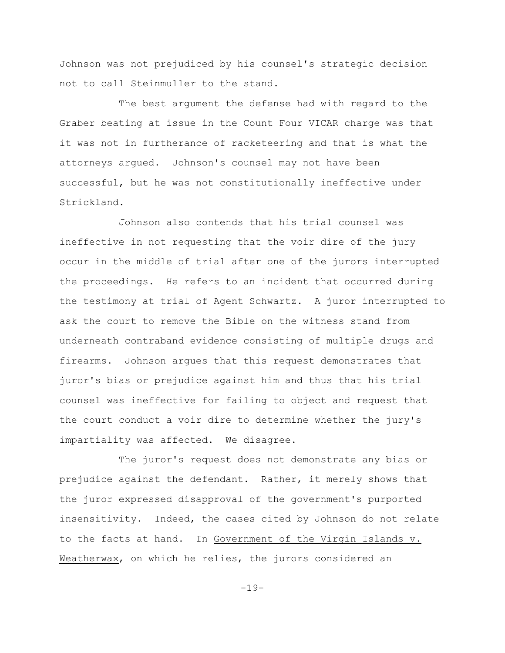Johnson was not prejudiced by his counsel's strategic decision not to call Steinmuller to the stand.

The best argument the defense had with regard to the Graber beating at issue in the Count Four VICAR charge was that it was not in furtherance of racketeering and that is what the attorneys argued. Johnson's counsel may not have been successful, but he was not constitutionally ineffective under Strickland.

Johnson also contends that his trial counsel was ineffective in not requesting that the voir dire of the jury occur in the middle of trial after one of the jurors interrupted the proceedings. He refers to an incident that occurred during the testimony at trial of Agent Schwartz. A juror interrupted to ask the court to remove the Bible on the witness stand from underneath contraband evidence consisting of multiple drugs and firearms. Johnson argues that this request demonstrates that juror's bias or prejudice against him and thus that his trial counsel was ineffective for failing to object and request that the court conduct a voir dire to determine whether the jury's impartiality was affected. We disagree.

The juror's request does not demonstrate any bias or prejudice against the defendant. Rather, it merely shows that the juror expressed disapproval of the government's purported insensitivity. Indeed, the cases cited by Johnson do not relate to the facts at hand. In Government of the Virgin Islands v. Weatherwax, on which he relies, the jurors considered an

-19-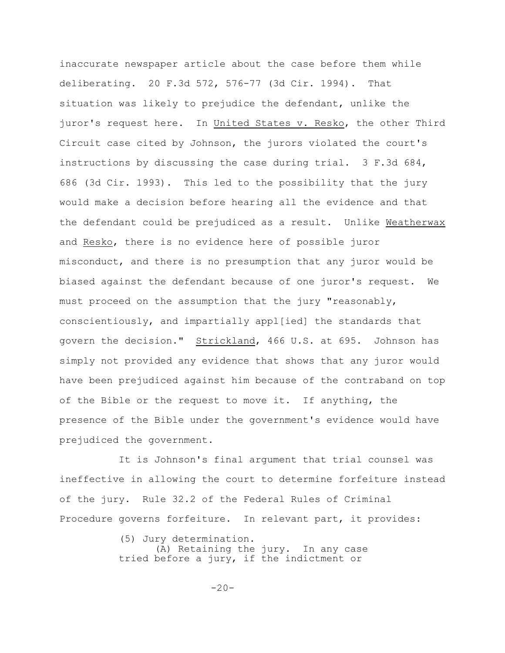inaccurate newspaper article about the case before them while deliberating. 20 F.3d 572, 576-77 (3d Cir. 1994). That situation was likely to prejudice the defendant, unlike the juror's request here. In United States v. Resko, the other Third Circuit case cited by Johnson, the jurors violated the court's instructions by discussing the case during trial. 3 F.3d 684, 686 (3d Cir. 1993). This led to the possibility that the jury would make a decision before hearing all the evidence and that the defendant could be prejudiced as a result. Unlike Weatherwax and Resko, there is no evidence here of possible juror misconduct, and there is no presumption that any juror would be biased against the defendant because of one juror's request. We must proceed on the assumption that the jury "reasonably, conscientiously, and impartially appl[ied] the standards that govern the decision." Strickland, 466 U.S. at 695. Johnson has simply not provided any evidence that shows that any juror would have been prejudiced against him because of the contraband on top of the Bible or the request to move it. If anything, the presence of the Bible under the government's evidence would have prejudiced the government.

It is Johnson's final argument that trial counsel was ineffective in allowing the court to determine forfeiture instead of the jury. Rule 32.2 of the Federal Rules of Criminal Procedure governs forfeiture. In relevant part, it provides:

> (5) Jury determination. (A) Retaining the jury. In any case tried before a jury, if the indictment or

> > $-20-$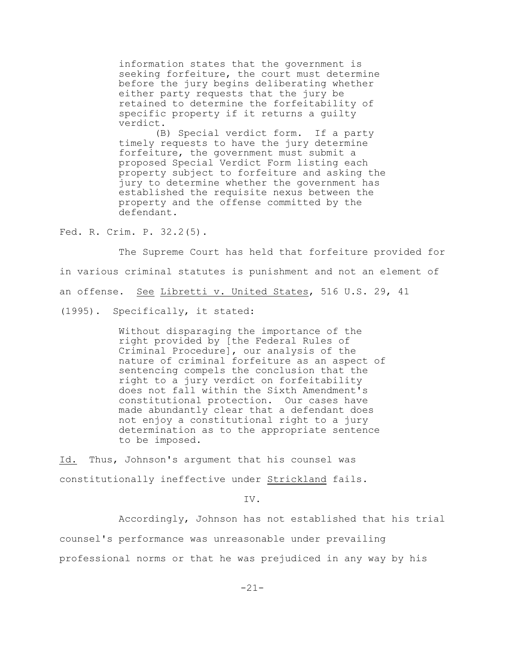information states that the government is seeking forfeiture, the court must determine before the jury begins deliberating whether either party requests that the jury be retained to determine the forfeitability of specific property if it returns a guilty verdict.

 (B) Special verdict form. If a party timely requests to have the jury determine forfeiture, the government must submit a proposed Special Verdict Form listing each property subject to forfeiture and asking the jury to determine whether the government has established the requisite nexus between the property and the offense committed by the defendant.

Fed. R. Crim. P. 32.2(5).

The Supreme Court has held that forfeiture provided for in various criminal statutes is punishment and not an element of an offense. See Libretti v. United States, 516 U.S. 29, 41 (1995). Specifically, it stated:

> Without disparaging the importance of the right provided by [the Federal Rules of Criminal Procedure], our analysis of the nature of criminal forfeiture as an aspect of sentencing compels the conclusion that the right to a jury verdict on forfeitability does not fall within the Sixth Amendment's constitutional protection. Our cases have made abundantly clear that a defendant does not enjoy a constitutional right to a jury determination as to the appropriate sentence to be imposed.

Id. Thus, Johnson's argument that his counsel was constitutionally ineffective under Strickland fails.

IV.

Accordingly, Johnson has not established that his trial counsel's performance was unreasonable under prevailing professional norms or that he was prejudiced in any way by his

-21-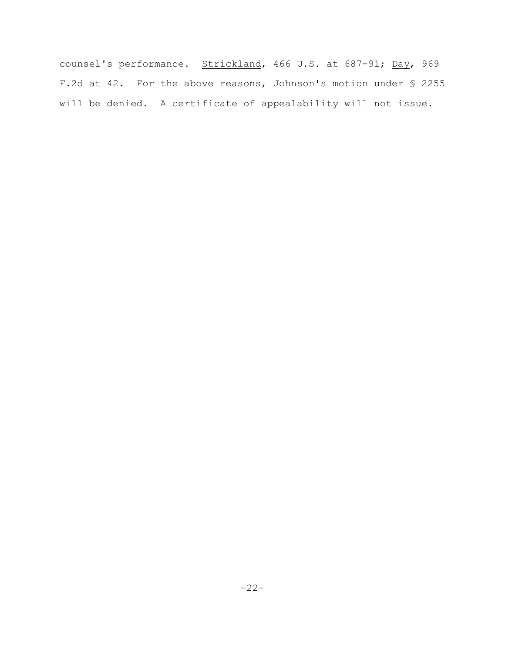counsel's performance. Strickland, 466 U.S. at 687-91; Day, 969 F.2d at 42. For the above reasons, Johnson's motion under § 2255 will be denied. A certificate of appealability will not issue.